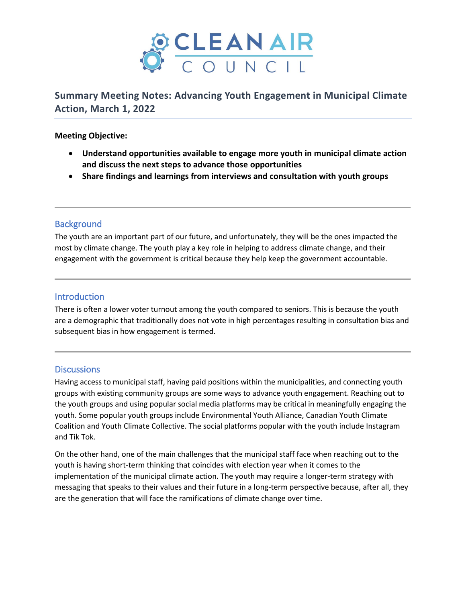

**Summary Meeting Notes: Advancing Youth Engagement in Municipal Climate Action, March 1, 2022**

#### **Meeting Objective:**

- **Understand opportunities available to engage more youth in municipal climate action and discuss the next steps to advance those opportunities**
- **Share findings and learnings from interviews and consultation with youth groups**

## **Background**

The youth are an important part of our future, and unfortunately, they will be the ones impacted the most by climate change. The youth play a key role in helping to address climate change, and their engagement with the government is critical because they help keep the government accountable.

### **Introduction**

There is often a lower voter turnout among the youth compared to seniors. This is because the youth are a demographic that traditionally does not vote in high percentages resulting in consultation bias and subsequent bias in how engagement is termed.

#### Discussions

Having access to municipal staff, having paid positions within the municipalities, and connecting youth groups with existing community groups are some ways to advance youth engagement. Reaching out to the youth groups and using popular social media platforms may be critical in meaningfully engaging the youth. Some popular youth groups include Environmental Youth Alliance, Canadian Youth Climate Coalition and Youth Climate Collective. The social platforms popular with the youth include Instagram and Tik Tok.

On the other hand, one of the main challenges that the municipal staff face when reaching out to the youth is having short-term thinking that coincides with election year when it comes to the implementation of the municipal climate action. The youth may require a longer-term strategy with messaging that speaks to their values and their future in a long-term perspective because, after all, they are the generation that will face the ramifications of climate change over time.